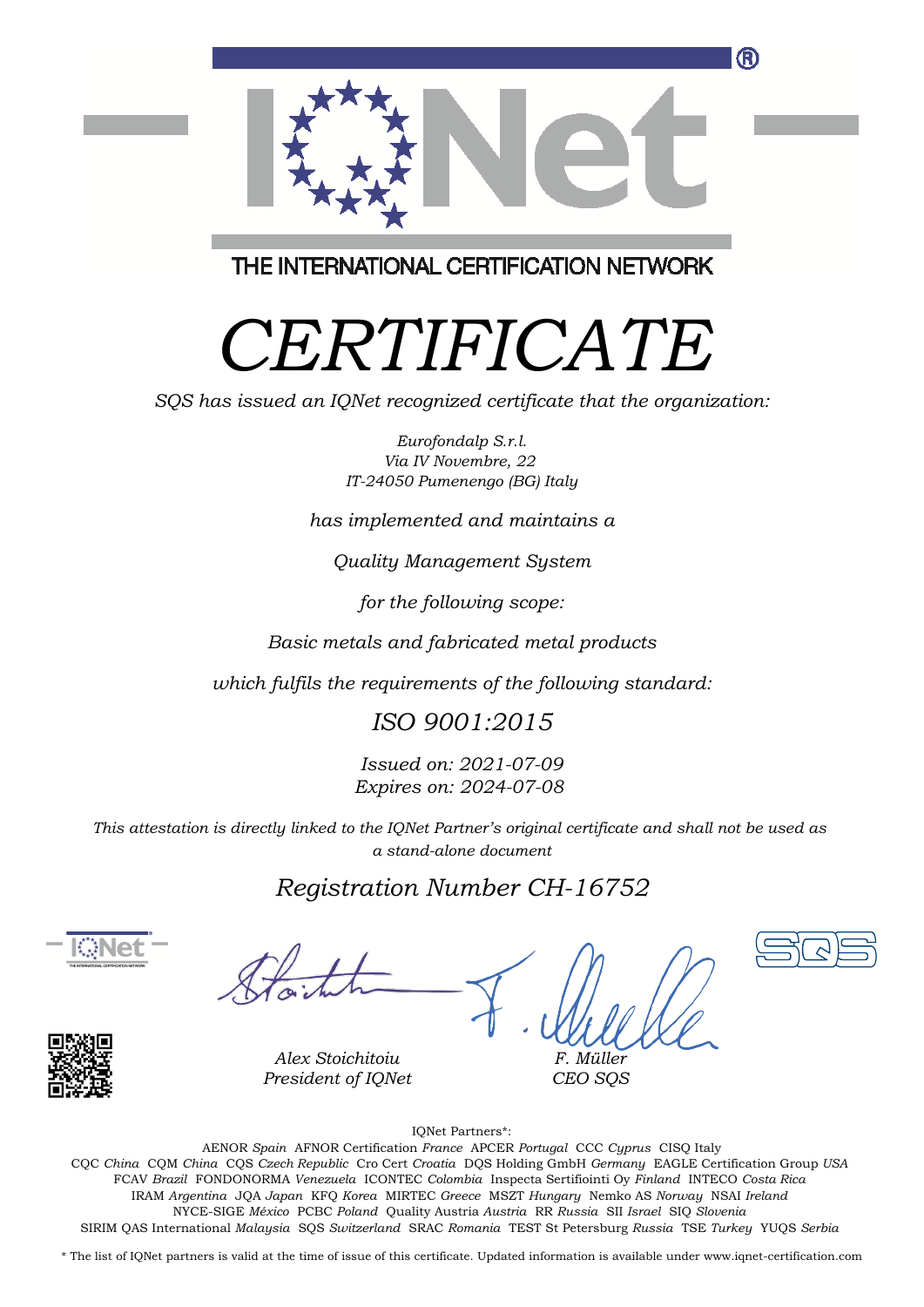

THE INTERNATIONAL CERTIFICATION NETWORK

# *CERTIFICATE*

*SQS has issued an IQNet recognized certificate that the organization:*

*Eurofondalp S.r.l. Via IV Novembre, 22 IT-24050 Pumenengo (BG) Italy*

*has implemented and maintains a*

*Quality Management System*

*for the following scope:*

*Basic metals and fabricated metal products*

*which fulfils the requirements of the following standard:*

### *ISO 9001:2015*

*Issued on: 2021-07-09 Expires on: 2024-07-08*

*This attestation is directly linked to the IQNet Partner's original certificate and shall not be used as a stand-alone document*

### *Registration Number CH-16752*





*Alex Stoichitoiu President of IQNet*

*F. Müller CEO SQS*





IQNet Partners\*:

This annex is only valid in connection with the above-mentioned certificate. FCAV *Brazil* FONDONORMA *Venezuela* ICONTEC *Colombia* Inspecta Sertifiointi Oy *Finland* INTECO *Costa Rica* AENOR *Spain* AFNOR Certification *France* APCER *Portugal* CCC *Cyprus* CISQ Italy CQC *China* CQM *China* CQS *Czech Republic* Cro Cert *Croatia* DQS Holding GmbH *Germany* EAGLE Certification Group *USA* IRAM *Argentina* JQA *Japan* KFQ *Korea* MIRTEC *Greece* MSZT *Hungary* Nemko AS *Norway* NSAI *Ireland* NYCE-SIGE *México* PCBC *Poland* Quality Austria *Austria* RR *Russia* SII *Israel* SIQ *Slovenia* SIRIM QAS International *Malaysia* SQS *Switzerland* SRAC *Romania* TEST St Petersburg *Russia* TSE *Turkey* YUQS *Serbia*

\* The list of IQNet partners is valid at the time of issue of this certificate. Updated information is available under www.iqnet-certification.com